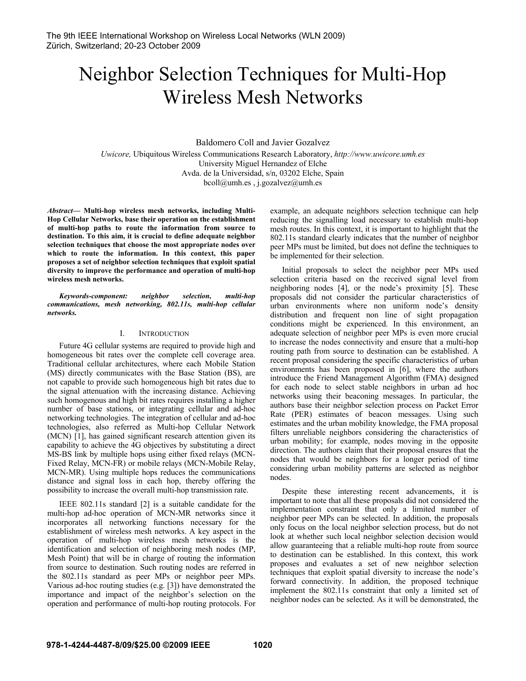# Neighbor Selection Techniques for Multi-Hop Wireless Mesh Networks

Baldomero Coll and Javier Gozalvez *Uwicore,* Ubiquitous Wireless Communications Research Laboratory, *http://www.uwicore.umh.es* University Miguel Hernandez of Elche Avda. de la Universidad, s/n, 03202 Elche, Spain bcoll@umh.es , j.gozalvez@umh.es

*Abstract***— Multi-hop wireless mesh networks, including Multi-Hop Cellular Networks, base their operation on the establishment of multi-hop paths to route the information from source to destination. To this aim, it is crucial to define adequate neighbor selection techniques that choose the most appropriate nodes over which to route the information. In this context, this paper proposes a set of neighbor selection techniques that exploit spatial diversity to improve the performance and operation of multi-hop wireless mesh networks.** 

*Keywords-component: neighbor selection, multi-hop communications, mesh networking, 802.11s, multi-hop cellular networks.* 

## I. INTRODUCTION

Future 4G cellular systems are required to provide high and homogeneous bit rates over the complete cell coverage area. Traditional cellular architectures, where each Mobile Station (MS) directly communicates with the Base Station (BS), are not capable to provide such homogeneous high bit rates due to the signal attenuation with the increasing distance. Achieving such homogenous and high bit rates requires installing a higher number of base stations, or integrating cellular and ad-hoc networking technologies. The integration of cellular and ad-hoc technologies, also referred as Multi-hop Cellular Network (MCN) [1], has gained significant research attention given its capability to achieve the 4G objectives by substituting a direct MS-BS link by multiple hops using either fixed relays (MCN-Fixed Relay, MCN-FR) or mobile relays (MCN-Mobile Relay, MCN-MR). Using multiple hops reduces the communications distance and signal loss in each hop, thereby offering the possibility to increase the overall multi-hop transmission rate.

IEEE 802.11s standard [2] is a suitable candidate for the multi-hop ad-hoc operation of MCN-MR networks since it incorporates all networking functions necessary for the establishment of wireless mesh networks. A key aspect in the operation of multi-hop wireless mesh networks is the identification and selection of neighboring mesh nodes (MP, Mesh Point) that will be in charge of routing the information from source to destination. Such routing nodes are referred in the 802.11s standard as peer MPs or neighbor peer MPs. Various ad-hoc routing studies (e.g. [3]) have demonstrated the importance and impact of the neighbor's selection on the operation and performance of multi-hop routing protocols. For

example, an adequate neighbors selection technique can help reducing the signalling load necessary to establish multi-hop mesh routes. In this context, it is important to highlight that the 802.11s standard clearly indicates that the number of neighbor peer MPs must be limited, but does not define the techniques to be implemented for their selection.

Initial proposals to select the neighbor peer MPs used selection criteria based on the received signal level from neighboring nodes [4], or the node's proximity [5]. These proposals did not consider the particular characteristics of urban environments where non uniform node's density distribution and frequent non line of sight propagation conditions might be experienced. In this environment, an adequate selection of neighbor peer MPs is even more crucial to increase the nodes connectivity and ensure that a multi-hop routing path from source to destination can be established. A recent proposal considering the specific characteristics of urban environments has been proposed in [6], where the authors introduce the Friend Management Algorithm (FMA) designed for each node to select stable neighbors in urban ad hoc networks using their beaconing messages. In particular, the authors base their neighbor selection process on Packet Error Rate (PER) estimates of beacon messages. Using such estimates and the urban mobility knowledge, the FMA proposal filters unreliable neighbors considering the characteristics of urban mobility; for example, nodes moving in the opposite direction. The authors claim that their proposal ensures that the nodes that would be neighbors for a longer period of time considering urban mobility patterns are selected as neighbor nodes.

Despite these interesting recent advancements, it is important to note that all these proposals did not considered the implementation constraint that only a limited number of neighbor peer MPs can be selected. In addition, the proposals only focus on the local neighbor selection process, but do not look at whether such local neighbor selection decision would allow guaranteeing that a reliable multi-hop route from source to destination can be established. In this context, this work proposes and evaluates a set of new neighbor selection techniques that exploit spatial diversity to increase the node's forward connectivity. In addition, the proposed technique implement the 802.11s constraint that only a limited set of neighbor nodes can be selected. As it will be demonstrated, the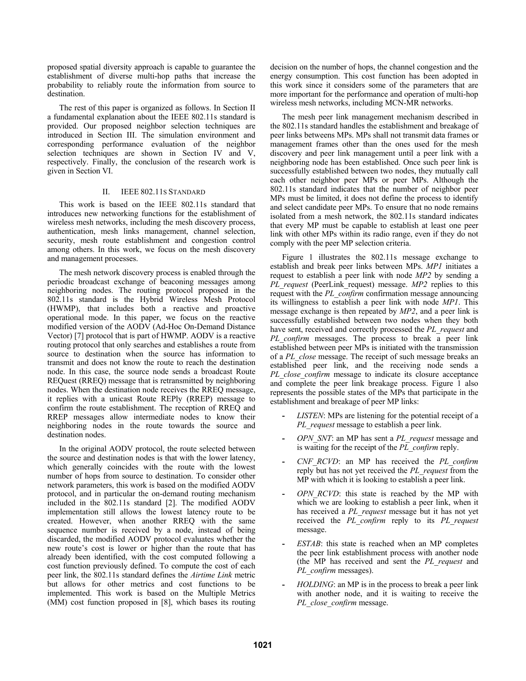proposed spatial diversity approach is capable to guarantee the establishment of diverse multi-hop paths that increase the probability to reliably route the information from source to destination.

The rest of this paper is organized as follows. In Section II a fundamental explanation about the IEEE 802.11s standard is provided. Our proposed neighbor selection techniques are introduced in Section III. The simulation environment and corresponding performance evaluation of the neighbor selection techniques are shown in Section IV and V, respectively. Finally, the conclusion of the research work is given in Section VI.

## II. IEEE 802.11S STANDARD

This work is based on the IEEE 802.11s standard that introduces new networking functions for the establishment of wireless mesh networks, including the mesh discovery process, authentication, mesh links management, channel selection, security, mesh route establishment and congestion control among others. In this work, we focus on the mesh discovery and management processes.

The mesh network discovery process is enabled through the periodic broadcast exchange of beaconing messages among neighboring nodes. The routing protocol proposed in the 802.11s standard is the Hybrid Wireless Mesh Protocol (HWMP), that includes both a reactive and proactive operational mode. In this paper, we focus on the reactive modified version of the AODV (Ad-Hoc On-Demand Distance Vector) [7] protocol that is part of HWMP. AODV is a reactive routing protocol that only searches and establishes a route from source to destination when the source has information to transmit and does not know the route to reach the destination node. In this case, the source node sends a broadcast Route REQuest (RREQ) message that is retransmitted by neighboring nodes. When the destination node receives the RREQ message, it replies with a unicast Route REPly (RREP) message to confirm the route establishment. The reception of RREQ and RREP messages allow intermediate nodes to know their neighboring nodes in the route towards the source and destination nodes.

In the original AODV protocol, the route selected between the source and destination nodes is that with the lower latency, which generally coincides with the route with the lowest number of hops from source to destination. To consider other network parameters, this work is based on the modified AODV protocol, and in particular the on-demand routing mechanism included in the 802.11s standard [2]. The modified AODV implementation still allows the lowest latency route to be created. However, when another RREQ with the same sequence number is received by a node, instead of being discarded, the modified AODV protocol evaluates whether the new route's cost is lower or higher than the route that has already been identified, with the cost computed following a cost function previously defined. To compute the cost of each peer link, the 802.11s standard defines the *Airtime Link* metric but allows for other metrics and cost functions to be implemented. This work is based on the Multiple Metrics (MM) cost function proposed in [8], which bases its routing decision on the number of hops, the channel congestion and the energy consumption. This cost function has been adopted in this work since it considers some of the parameters that are more important for the performance and operation of multi-hop wireless mesh networks, including MCN-MR networks.

The mesh peer link management mechanism described in the 802.11s standard handles the establishment and breakage of peer links betweens MPs. MPs shall not transmit data frames or management frames other than the ones used for the mesh discovery and peer link management until a peer link with a neighboring node has been established. Once such peer link is successfully established between two nodes, they mutually call each other neighbor peer MPs or peer MPs. Although the 802.11s standard indicates that the number of neighbor peer MPs must be limited, it does not define the process to identify and select candidate peer MPs. To ensure that no node remains isolated from a mesh network, the 802.11s standard indicates that every MP must be capable to establish at least one peer link with other MPs within its radio range, even if they do not comply with the peer MP selection criteria.

Figure 1 illustrates the 802.11s message exchange to establish and break peer links between MPs. *MP1* initiates a request to establish a peer link with node *MP2* by sending a *PL\_request* (PeerLink\_request) message. *MP2* replies to this request with the *PL\_confirm* confirmation message announcing its willingness to establish a peer link with node *MP1*. This message exchange is then repeated by *MP2*, and a peer link is successfully established between two nodes when they both have sent, received and correctly processed the *PL\_request* and *PL\_confirm* messages. The process to break a peer link established between peer MPs is initiated with the transmission of a *PL\_close* message. The receipt of such message breaks an established peer link, and the receiving node sends a *PL\_close*\_*confirm* message to indicate its closure acceptance and complete the peer link breakage process. Figure 1 also represents the possible states of the MPs that participate in the establishment and breakage of peer MP links:

- **-** *LISTEN*: MPs are listening for the potential receipt of a *PL\_request* message to establish a peer link.
- **-** *OPN\_SNT*: an MP has sent a *PL\_request* message and is waiting for the receipt of the *PL\_confirm* reply.
- **-** *CNF\_RCVD*: an MP has received the *PL\_confirm* reply but has not yet received the *PL\_request* from the MP with which it is looking to establish a peer link.
- *OPN RCVD*: this state is reached by the MP with which we are looking to establish a peer link, when it has received a *PL\_request* message but it has not yet received the *PL\_confirm* reply to its *PL\_request* message.
- **-** *ESTAB*: this state is reached when an MP completes the peer link establishment process with another node (the MP has received and sent the *PL\_request* and *PL\_confirm* messages).
- **-** *HOLDING*: an MP is in the process to break a peer link with another node, and it is waiting to receive the *PL\_close\_confirm* message.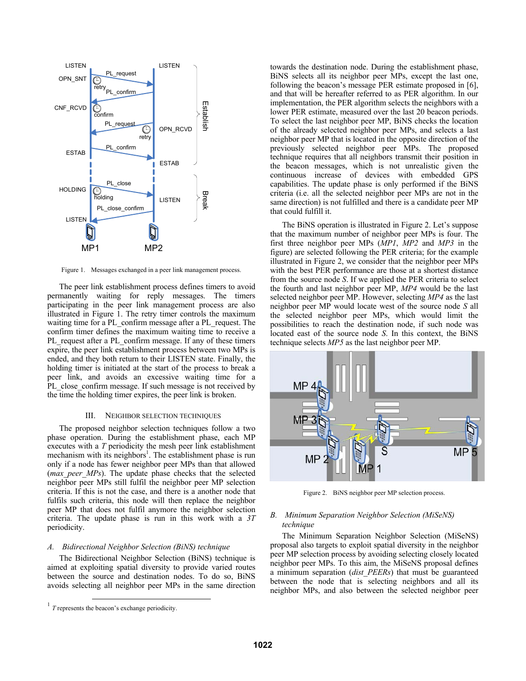

Figure 1. Messages exchanged in a peer link management process.

The peer link establishment process defines timers to avoid permanently waiting for reply messages. The timers participating in the peer link management process are also illustrated in Figure 1. The retry timer controls the maximum waiting time for a PL\_confirm message after a PL\_request. The confirm timer defines the maximum waiting time to receive a PL\_request after a PL\_confirm message. If any of these timers expire, the peer link establishment process between two MPs is ended, and they both return to their LISTEN state. Finally, the holding timer is initiated at the start of the process to break a peer link, and avoids an excessive waiting time for a PL\_close\_confirm message. If such message is not received by the time the holding timer expires, the peer link is broken.

#### III. NEIGHBOR SELECTION TECHNIQUES

The proposed neighbor selection techniques follow a two phase operation. During the establishment phase, each MP executes with a *T* periodicity the mesh peer link establishment mechanism with its neighbors<sup>1</sup>. The establishment phase is run only if a node has fewer neighbor peer MPs than that allowed (*max peer MPs*). The update phase checks that the selected neighbor peer MPs still fulfil the neighbor peer MP selection criteria. If this is not the case, and there is a another node that fulfils such criteria, this node will then replace the neighbor peer MP that does not fulfil anymore the neighbor selection criteria. The update phase is run in this work with a *3T* periodicity.

#### *A. Bidirectional Neighbor Selection (BiNS) technique*

The Bidirectional Neighbor Selection (BiNS) technique is aimed at exploiting spatial diversity to provide varied routes between the source and destination nodes. To do so, BiNS avoids selecting all neighbor peer MPs in the same direction towards the destination node. During the establishment phase, BiNS selects all its neighbor peer MPs, except the last one, following the beacon's message PER estimate proposed in [6], and that will be hereafter referred to as PER algorithm. In our implementation, the PER algorithm selects the neighbors with a lower PER estimate, measured over the last 20 beacon periods. To select the last neighbor peer MP, BiNS checks the location of the already selected neighbor peer MPs, and selects a last neighbor peer MP that is located in the opposite direction of the previously selected neighbor peer MPs. The proposed technique requires that all neighbors transmit their position in the beacon messages, which is not unrealistic given the continuous increase of devices with embedded GPS capabilities. The update phase is only performed if the BiNS criteria (i.e. all the selected neighbor peer MPs are not in the same direction) is not fulfilled and there is a candidate peer MP that could fulfill it.

The BiNS operation is illustrated in Figure 2. Let's suppose that the maximum number of neighbor peer MPs is four. The first three neighbor peer MPs (*MP1*, *MP2* and *MP3* in the figure) are selected following the PER criteria; for the example illustrated in Figure 2, we consider that the neighbor peer MPs with the best PER performance are those at a shortest distance from the source node *S*. If we applied the PER criteria to select the fourth and last neighbor peer MP, *MP4* would be the last selected neighbor peer MP. However, selecting *MP4* as the last neighbor peer MP would locate west of the source node *S* all the selected neighbor peer MPs, which would limit the possibilities to reach the destination node, if such node was located east of the source node *S*. In this context, the BiNS technique selects *MP5* as the last neighbor peer MP.



Figure 2. BiNS neighbor peer MP selection process.

## *B. Minimum Separation Neighbor Selection (MiSeNS) technique*

The Minimum Separation Neighbor Selection (MiSeNS) proposal also targets to exploit spatial diversity in the neighbor peer MP selection process by avoiding selecting closely located neighbor peer MPs. To this aim, the MiSeNS proposal defines a minimum separation (*dist\_PEERs*) that must be guaranteed between the node that is selecting neighbors and all its neighbor MPs, and also between the selected neighbor peer

 $\frac{1}{T}$  *T* represents the beacon's exchange periodicity.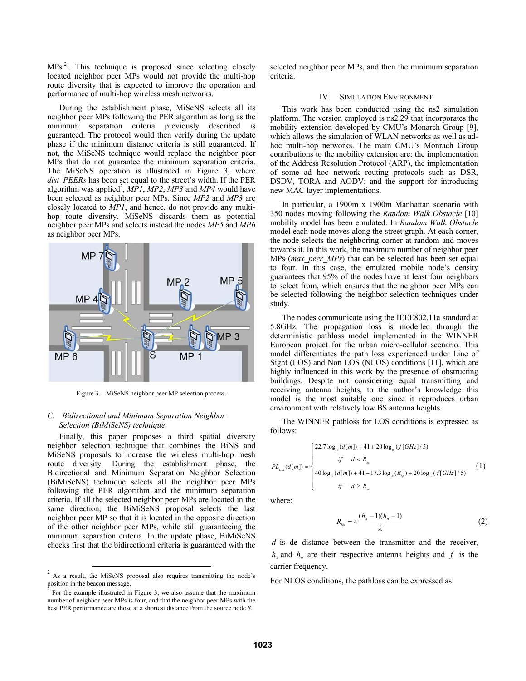$MPs<sup>2</sup>$ . This technique is proposed since selecting closely located neighbor peer MPs would not provide the multi-hop route diversity that is expected to improve the operation and performance of multi-hop wireless mesh networks.

During the establishment phase, MiSeNS selects all its neighbor peer MPs following the PER algorithm as long as the minimum separation criteria previously described is guaranteed. The protocol would then verify during the update phase if the minimum distance criteria is still guaranteed. If not, the MiSeNS technique would replace the neighbor peer MPs that do not guarantee the minimum separation criteria. The MiSeNS operation is illustrated in Figure 3, where *dist\_PEERs* has been set equal to the street's width. If the PER algorithm was applied<sup>3</sup>,  $\overrightarrow{MP1}$ ,  $\overrightarrow{MP2}$ ,  $\overrightarrow{MP3}$  and  $\overrightarrow{MP4}$  would have been selected as neighbor peer MPs. Since *MP2* and *MP3* are closely located to *MP1*, and hence, do not provide any multihop route diversity, MiSeNS discards them as potential neighbor peer MPs and selects instead the nodes *MP5* and *MP6* as neighbor peer MPs.



Figure 3. MiSeNS neighbor peer MP selection process.

## *C. Bidirectional and Minimum Separation Neighbor Selection (BiMiSeNS) technique*

Finally, this paper proposes a third spatial diversity neighbor selection technique that combines the BiNS and MiSeNS proposals to increase the wireless multi-hop mesh route diversity. During the establishment phase, the Bidirectional and Minimum Separation Neighbor Selection (BiMiSeNS) technique selects all the neighbor peer MPs following the PER algorithm and the minimum separation criteria. If all the selected neighbor peer MPs are located in the same direction, the BiMiSeNS proposal selects the last neighbor peer MP so that it is located in the opposite direction of the other neighbor peer MPs, while still guaranteeing the minimum separation criteria. In the update phase, BiMiSeNS checks first that the bidirectional criteria is guaranteed with the

selected neighbor peer MPs, and then the minimum separation criteria.

## IV. SIMULATION ENVIRONMENT

This work has been conducted using the ns2 simulation platform. The version employed is ns2.29 that incorporates the mobility extension developed by CMU's Monarch Group [9], which allows the simulation of WLAN networks as well as adhoc multi-hop networks. The main CMU's Monrach Group contributions to the mobility extension are: the implementation of the Address Resolution Protocol (ARP), the implementation of some ad hoc network routing protocols such as DSR, DSDV, TORA and AODV; and the support for introducing new MAC layer implementations.

In particular, a 1900m x 1900m Manhattan scenario with 350 nodes moving following the *Random Walk Obstacle* [10] mobility model has been emulated. In *Random Walk Obstacle*  model each node moves along the street graph. At each corner, the node selects the neighboring corner at random and moves towards it. In this work, the maximum number of neighbor peer MPs (*max\_peer\_MPs*) that can be selected has been set equal to four. In this case, the emulated mobile node's density guarantees that 95% of the nodes have at least four neighbors to select from, which ensures that the neighbor peer MPs can be selected following the neighbor selection techniques under study.

The nodes communicate using the IEEE802.11a standard at 5.8GHz. The propagation loss is modelled through the deterministic pathloss model implemented in the WINNER European project for the urban micro-cellular scenario. This model differentiates the path loss experienced under Line of Sight (LOS) and Non LOS (NLOS) conditions [11], which are highly influenced in this work by the presence of obstructing buildings. Despite not considering equal transmitting and receiving antenna heights, to the author's knowledge this model is the most suitable one since it reproduces urban environment with relatively low BS antenna heights.

The WINNER pathloss for LOS conditions is expressed as follows:

$$
PL_{\text{cos}}(d[m]) = \begin{cases} 22.7 \log_{\text{10}}(d[m]) + 41 + 20 \log_{\text{10}}(f[GHz]/5) \\ \text{if} \quad d < R_{\text{10}} \\ 40 \log_{\text{10}}(d[m]) + 41 - 17.3 \log_{\text{10}}(R_{\text{10}}) + 20 \log_{\text{10}}(f[GHz]/5) \\ \text{if} \quad d \ge R_{\text{10}} \end{cases} \tag{1}
$$

where:

$$
R_{_{bp}} = 4 \frac{(h_{_A} - 1)(h_{_B} - 1)}{\lambda} \tag{2}
$$

*d* is de distance between the transmitter and the receiver,  $h_{\mu}$  and  $h_{\mu}$  are their respective antenna heights and  $f$  is the carrier frequency.

For NLOS conditions, the pathloss can be expressed as:

 <sup>2</sup> As a result, the MiSeNS proposal also requires transmitting the node's position in the beacon message.

<sup>3</sup> For the example illustrated in Figure 3, we also assume that the maximum number of neighbor peer MPs is four, and that the neighbor peer MPs with the best PER performance are those at a shortest distance from the source node *S.*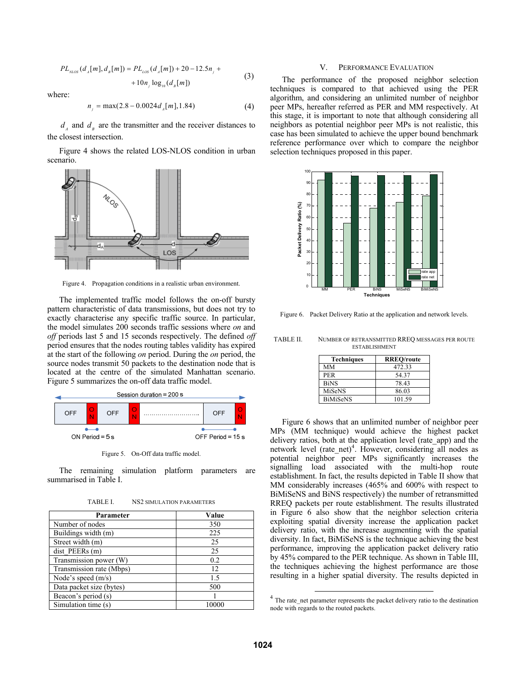$$
PL_{MOS}(d_A[m], d_B[m]) = PL_{LOS}(d_A[m]) + 20 - 12.5n_j ++ 10n_j \log_{10}(d_B[m])
$$
\n(3)

where:

$$
n_{j} = \max(2.8 - 0.0024d_{A}[m], 1.84)
$$
 (4)

 $d_{\mu}$  and  $d_{\mu}$  are the transmitter and the receiver distances to the closest intersection.

Figure 4 shows the related LOS-NLOS condition in urban scenario.



Figure 4. Propagation conditions in a realistic urban environment.

The implemented traffic model follows the on-off bursty pattern characteristic of data transmissions, but does not try to exactly characterise any specific traffic source. In particular, the model simulates 200 seconds traffic sessions where *on* and *off* periods last 5 and 15 seconds respectively. The defined *off* period ensures that the nodes routing tables validity has expired at the start of the following *on* period. During the *on* period, the source nodes transmit 50 packets to the destination node that is located at the centre of the simulated Manhattan scenario. Figure 5 summarizes the on-off data traffic model.



Figure 5. On-Off data traffic model.

The remaining simulation platform parameters are summarised in Table I.

TABLE I. NS2 SIMULATION PARAMETERS

| Parameter                | Value |
|--------------------------|-------|
| Number of nodes          | 350   |
| Buildings width (m)      | 225   |
| Street width (m)         | 25    |
| $dist$ PEERs $(m)$       | 25    |
| Transmission power (W)   | 0.2   |
| Transmission rate (Mbps) | 12    |
| Node's speed $(m/s)$     | 1.5   |
| Data packet size (bytes) | 500   |
| Beacon's period (s)      |       |
| Simulation time (s)      | 10000 |

#### V. PERFORMANCE EVALUATION

The performance of the proposed neighbor selection techniques is compared to that achieved using the PER algorithm, and considering an unlimited number of neighbor peer MPs, hereafter referred as PER and MM respectively. At this stage, it is important to note that although considering all neighbors as potential neighbor peer MPs is not realistic, this case has been simulated to achieve the upper bound benchmark reference performance over which to compare the neighbor selection techniques proposed in this paper.



Figure 6. Packet Delivery Ratio at the application and network levels.

TABLE II. NUMBER OF RETRANSMITTED RREQ MESSAGES PER ROUTE ESTABLISHMENT

| <b>Techniques</b> | <b>RREO/route</b> |  |  |
|-------------------|-------------------|--|--|
| MМ                | 472.33            |  |  |
| PER               | 54.37             |  |  |
| <b>BiNS</b>       | 78.43             |  |  |
| MiSeNS            | 86.03             |  |  |
| <b>BiMiSeNS</b>   | 101.59            |  |  |

Figure 6 shows that an unlimited number of neighbor peer MPs (MM technique) would achieve the highest packet delivery ratios, both at the application level (rate\_app) and the network level (rate\_net)<sup>4</sup>. However, considering all nodes as potential neighbor peer MPs significantly increases the signalling load associated with the multi-hop route establishment. In fact, the results depicted in Table II show that MM considerably increases (465% and 600% with respect to BiMiSeNS and BiNS respectively) the number of retransmitted RREQ packets per route establishment. The results illustrated in Figure 6 also show that the neighbor selection criteria exploiting spatial diversity increase the application packet delivery ratio, with the increase augmenting with the spatial diversity. In fact, BiMiSeNS is the technique achieving the best performance, improving the application packet delivery ratio by 45% compared to the PER technique. As shown in Table III, the techniques achieving the highest performance are those resulting in a higher spatial diversity. The results depicted in

<sup>&</sup>lt;sup>4</sup> The rate net parameter represents the packet delivery ratio to the destination node with regards to the routed packets.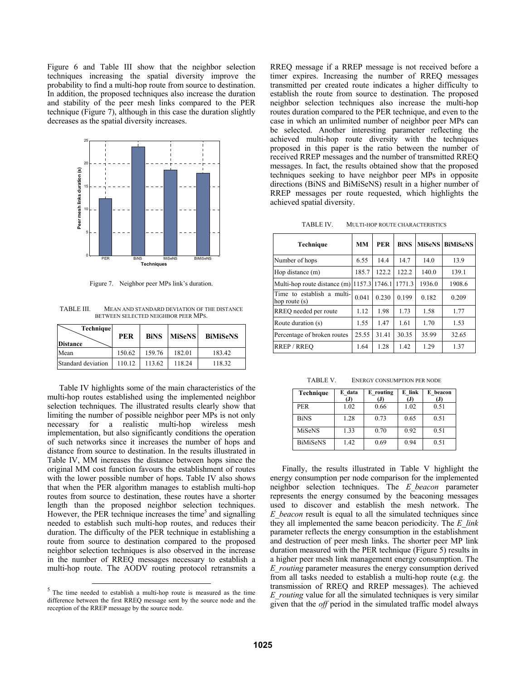Figure 6 and Table III show that the neighbor selection techniques increasing the spatial diversity improve the probability to find a multi-hop route from source to destination. In addition, the proposed techniques also increase the duration and stability of the peer mesh links compared to the PER technique (Figure 7), although in this case the duration slightly decreases as the spatial diversity increases.



Figure 7. Neighbor peer MPs link's duration.

TABLE III. MEAN AND STANDARD DEVIATION OF THE DISTANCE BETWEEN SELECTED NEIGHBOR PEER MPS.

| Technique<br><b>Distance</b> | <b>PER</b> | <b>BiNS</b> | <b>MiSeNS</b> | <b>BiMiSeNS</b> |
|------------------------------|------------|-------------|---------------|-----------------|
| Mean                         | 150.62     | 159.76      | 182.01        | 183.42          |
| Standard deviation           | 110.12     | 113.62      | 118.24        | 118.32          |

Table IV highlights some of the main characteristics of the multi-hop routes established using the implemented neighbor selection techniques. The illustrated results clearly show that limiting the number of possible neighbor peer MPs is not only necessary for a realistic multi-hop wireless mesh implementation, but also significantly conditions the operation of such networks since it increases the number of hops and distance from source to destination. In the results illustrated in Table IV, MM increases the distance between hops since the original MM cost function favours the establishment of routes with the lower possible number of hops. Table IV also shows that when the PER algorithm manages to establish multi-hop routes from source to destination, these routes have a shorter length than the proposed neighbor selection techniques. However, the PER technique increases the time<sup>5</sup> and signalling needed to establish such multi-hop routes, and reduces their duration. The difficulty of the PER technique in establishing a route from source to destination compared to the proposed neighbor selection techniques is also observed in the increase in the number of RREQ messages necessary to establish a multi-hop route. The AODV routing protocol retransmits a

RREQ message if a RREP message is not received before a timer expires. Increasing the number of RREQ messages transmitted per created route indicates a higher difficulty to establish the route from source to destination. The proposed neighbor selection techniques also increase the multi-hop routes duration compared to the PER technique, and even to the case in which an unlimited number of neighbor peer MPs can be selected. Another interesting parameter reflecting the achieved multi-hop route diversity with the techniques proposed in this paper is the ratio between the number of received RREP messages and the number of transmitted RREQ messages. In fact, the results obtained show that the proposed techniques seeking to have neighbor peer MPs in opposite directions (BiNS and BiMiSeNS) result in a higher number of RREP messages per route requested, which highlights the achieved spatial diversity.

| TABLE IV. | MULTI-HOP ROUTE CHARACTERISTICS |
|-----------|---------------------------------|
|-----------|---------------------------------|

| Technique                                   | MМ    | <b>PER</b> | <b>BiNS</b> | <b>MiSeNS</b> | <b>BiMiSeNS</b> |
|---------------------------------------------|-------|------------|-------------|---------------|-----------------|
| Number of hops                              | 6.55  | 14.4       | 14.7        | 14.0          | 13.9            |
| Hop distance (m)                            | 185.7 | 122.2      | 122.2       | 140.0         | 139.1           |
| Multi-hop route distance (m) 1157.3         |       | 1746.1     | 1771.3      | 1936.0        | 1908.6          |
| Time to establish a multi-<br>hop route (s) | 0.041 | 0.230      | 0.199       | 0.182         | 0.209           |
| RREO needed per route                       | 1.12  | 1.98       | 1.73        | 1.58          | 1.77            |
| Route duration (s)                          | 1.55  | 1.47       | 1.61        | 1.70          | 1.53            |
| Percentage of broken routes                 | 25.55 | 31.41      | 30.35       | 35.99         | 32.65           |
| <b>RREP / RREO</b>                          | 1.64  | 1.28       | 1.42        | 1.29          | 1.37            |

TABLE V. ENERGY CONSUMPTION PER NODE

| Technique       | E data       | E routing | E link | E beacon |
|-----------------|--------------|-----------|--------|----------|
|                 | $\mathbf{J}$ | (J)       | (J)    | (J)      |
| PER             | 1.02         | 0.66      | 1.02   | 0.51     |
| <b>BiNS</b>     | 1.28         | 0.73      | 0.65   | 0.51     |
| MiSeNS          | 1.33         | 0.70      | 0.92   | 0.51     |
| <b>BiMiSeNS</b> | 1.42         | 0.69      | 0.94   | 0.51     |

Finally, the results illustrated in Table V highlight the energy consumption per node comparison for the implemented neighbor selection techniques. The *E\_beacon* parameter represents the energy consumed by the beaconing messages used to discover and establish the mesh network. The *E\_beacon* result is equal to all the simulated techniques since they all implemented the same beacon periodicity. The *E\_link* parameter reflects the energy consumption in the establishment and destruction of peer mesh links. The shorter peer MP link duration measured with the PER technique (Figure 5) results in a higher peer mesh link management energy consumption. The *E\_routing* parameter measures the energy consumption derived from all tasks needed to establish a multi-hop route (e.g. the transmission of RREQ and RREP messages). The achieved *E\_routing* value for all the simulated techniques is very similar given that the *off* period in the simulated traffic model always

 $5$  The time needed to establish a multi-hop route is measured as the time difference between the first RREQ message sent by the source node and the reception of the RREP message by the source node.